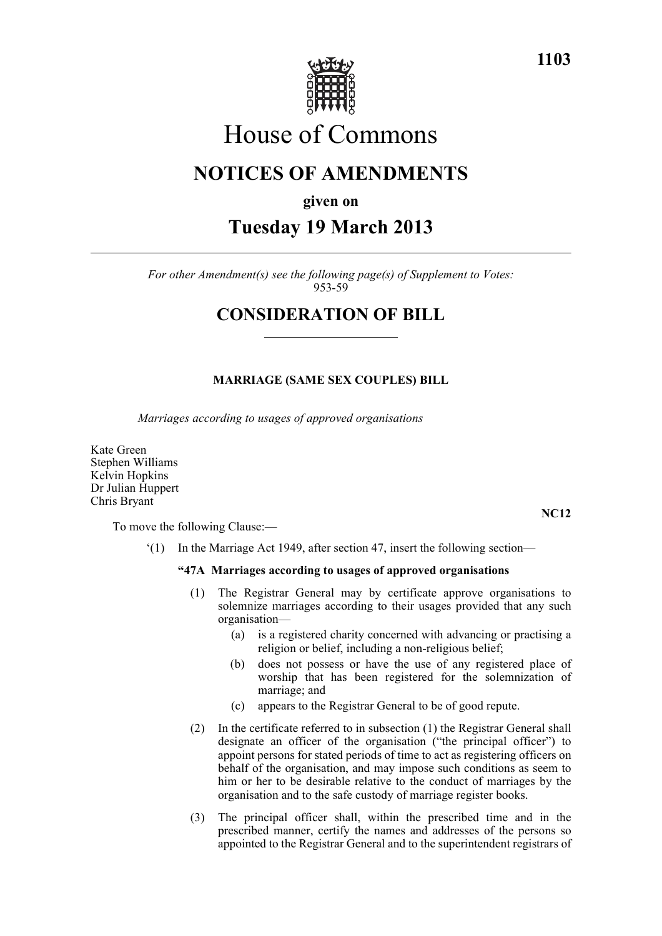

# House of Commons

# **NOTICES OF AMENDMENTS**

# **given on**

# **Tuesday 19 March 2013**

*For other Amendment(s) see the following page(s) of Supplement to Votes:* 953-59

# **CONSIDERATION OF BILL**

## **MARRIAGE (SAME SEX COUPLES) BILL**

*Marriages according to usages of approved organisations*

Kate Green Stephen Williams Kelvin Hopkins Dr Julian Huppert Chris Bryant

To move the following Clause:—

**NC12**

'(1) In the Marriage Act 1949, after section 47, insert the following section—

### **"47A Marriages according to usages of approved organisations**

- (1) The Registrar General may by certificate approve organisations to solemnize marriages according to their usages provided that any such organisation—
	- (a) is a registered charity concerned with advancing or practising a religion or belief, including a non-religious belief;
	- (b) does not possess or have the use of any registered place of worship that has been registered for the solemnization of marriage; and
	- (c) appears to the Registrar General to be of good repute.
- (2) In the certificate referred to in subsection (1) the Registrar General shall designate an officer of the organisation ("the principal officer") to appoint persons for stated periods of time to act as registering officers on behalf of the organisation, and may impose such conditions as seem to him or her to be desirable relative to the conduct of marriages by the organisation and to the safe custody of marriage register books.
- (3) The principal officer shall, within the prescribed time and in the prescribed manner, certify the names and addresses of the persons so appointed to the Registrar General and to the superintendent registrars of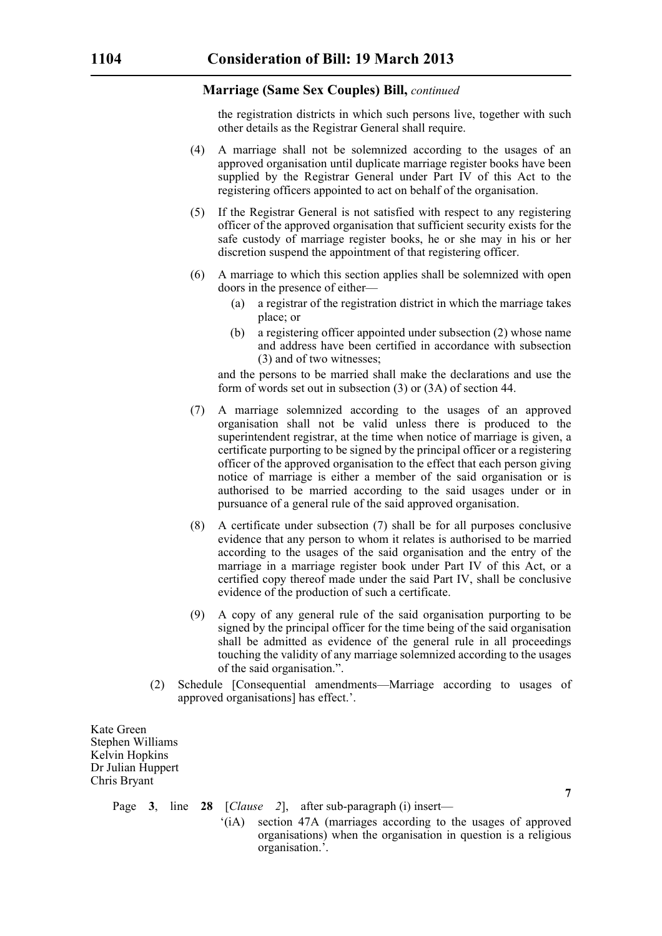#### **Marriage (Same Sex Couples) Bill,** *continued*

the registration districts in which such persons live, together with such other details as the Registrar General shall require.

- (4) A marriage shall not be solemnized according to the usages of an approved organisation until duplicate marriage register books have been supplied by the Registrar General under Part IV of this Act to the registering officers appointed to act on behalf of the organisation.
- (5) If the Registrar General is not satisfied with respect to any registering officer of the approved organisation that sufficient security exists for the safe custody of marriage register books, he or she may in his or her discretion suspend the appointment of that registering officer.
- (6) A marriage to which this section applies shall be solemnized with open doors in the presence of either—
	- (a) a registrar of the registration district in which the marriage takes place; or
	- (b) a registering officer appointed under subsection (2) whose name and address have been certified in accordance with subsection (3) and of two witnesses;

and the persons to be married shall make the declarations and use the form of words set out in subsection (3) or (3A) of section 44.

- (7) A marriage solemnized according to the usages of an approved organisation shall not be valid unless there is produced to the superintendent registrar, at the time when notice of marriage is given, a certificate purporting to be signed by the principal officer or a registering officer of the approved organisation to the effect that each person giving notice of marriage is either a member of the said organisation or is authorised to be married according to the said usages under or in pursuance of a general rule of the said approved organisation.
- (8) A certificate under subsection (7) shall be for all purposes conclusive evidence that any person to whom it relates is authorised to be married according to the usages of the said organisation and the entry of the marriage in a marriage register book under Part IV of this Act, or a certified copy thereof made under the said Part IV, shall be conclusive evidence of the production of such a certificate.
- (9) A copy of any general rule of the said organisation purporting to be signed by the principal officer for the time being of the said organisation shall be admitted as evidence of the general rule in all proceedings touching the validity of any marriage solemnized according to the usages of the said organisation.".
- (2) Schedule [Consequential amendments—Marriage according to usages of approved organisations] has effect.'.

Kate Green Stephen Williams Kelvin Hopkins Dr Julian Huppert Chris Bryant

Page **3**, line **28** [*Clause 2*], after sub-paragraph (i) insert—

'(iA) section 47A (marriages according to the usages of approved organisations) when the organisation in question is a religious organisation.'.

**7**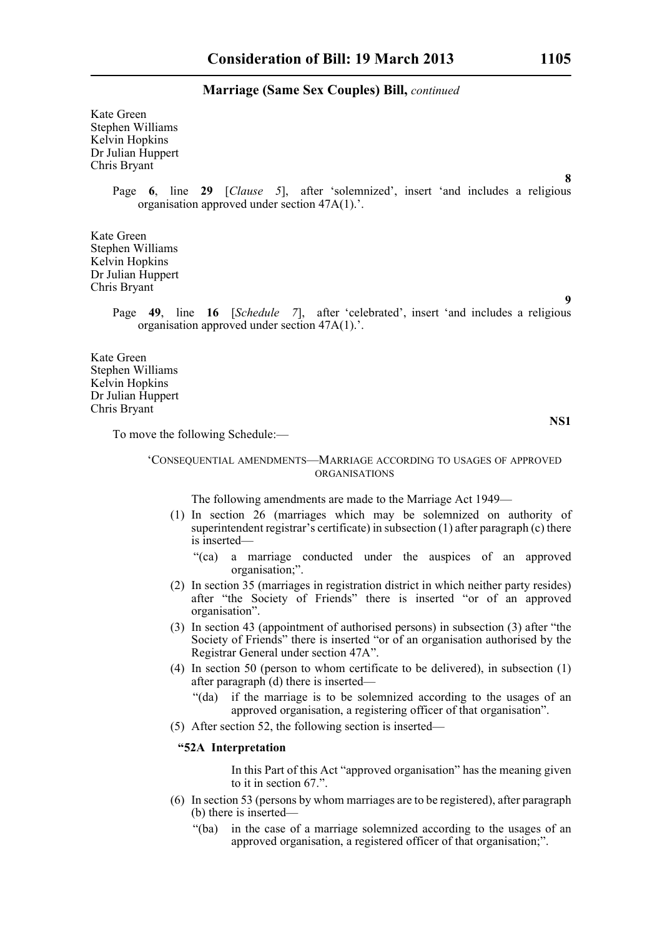#### **Marriage (Same Sex Couples) Bill,** *continued*

Kate Green Stephen Williams Kelvin Hopkins Dr Julian Huppert Chris Bryant

> Page **6**, line **29** [*Clause 5*], after 'solemnized', insert 'and includes a religious organisation approved under section 47A(1).'.

Kate Green Stephen Williams Kelvin Hopkins Dr Julian Huppert Chris Bryant

> Page **49**, line **16** [*Schedule 7*], after 'celebrated', insert 'and includes a religious organisation approved under section 47A(1).'.

Kate Green Stephen Williams Kelvin Hopkins Dr Julian Huppert Chris Bryant

To move the following Schedule:—

### 'CONSEQUENTIAL AMENDMENTS—MARRIAGE ACCORDING TO USAGES OF APPROVED ORGANISATIONS

The following amendments are made to the Marriage Act 1949—

- (1) In section 26 (marriages which may be solemnized on authority of superintendent registrar's certificate) in subsection (1) after paragraph (c) there is inserted—
	- "(ca) a marriage conducted under the auspices of an approved organisation;".
- (2) In section 35 (marriages in registration district in which neither party resides) after "the Society of Friends" there is inserted "or of an approved organisation".
- (3) In section 43 (appointment of authorised persons) in subsection (3) after "the Society of Friends" there is inserted "or of an organisation authorised by the Registrar General under section 47A".
- (4) In section 50 (person to whom certificate to be delivered), in subsection (1) after paragraph (d) there is inserted—
	- "(da) if the marriage is to be solemnized according to the usages of an approved organisation, a registering officer of that organisation".
- (5) After section 52, the following section is inserted—

### **"52A Interpretation**

In this Part of this Act "approved organisation" has the meaning given to it in section 67.".

- (6) In section 53 (persons by whom marriages are to be registered), after paragraph (b) there is inserted—
	- "(ba) in the case of a marriage solemnized according to the usages of an approved organisation, a registered officer of that organisation;".

**9**

**NS1**

**8**